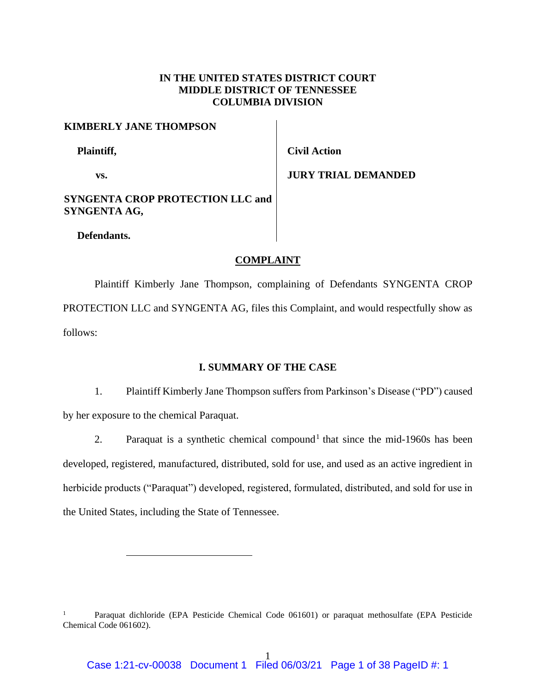# **IN THE UNITED STATES DISTRICT COURT MIDDLE DISTRICT OF TENNESSEE COLUMBIA DIVISION**

# **KIMBERLY JANE THOMPSON**

 **Plaintiff,**

**vs.**

**Civil Action**

**JURY TRIAL DEMANDED**

# **SYNGENTA CROP PROTECTION LLC and SYNGENTA AG,**

 **Defendants.**

# **COMPLAINT**

Plaintiff Kimberly Jane Thompson, complaining of Defendants SYNGENTA CROP PROTECTION LLC and SYNGENTA AG, files this Complaint, and would respectfully show as follows:

## **I. SUMMARY OF THE CASE**

1. Plaintiff Kimberly Jane Thompson suffers from Parkinson's Disease ("PD") caused by her exposure to the chemical Paraquat.

2. Paraquat is a synthetic chemical compound<sup>1</sup> that since the mid-1960s has been developed, registered, manufactured, distributed, sold for use, and used as an active ingredient in herbicide products ("Paraquat") developed, registered, formulated, distributed, and sold for use in the United States, including the State of Tennessee.

<sup>1</sup> Paraquat dichloride (EPA Pesticide Chemical Code 061601) or paraquat methosulfate (EPA Pesticide Chemical Code 061602).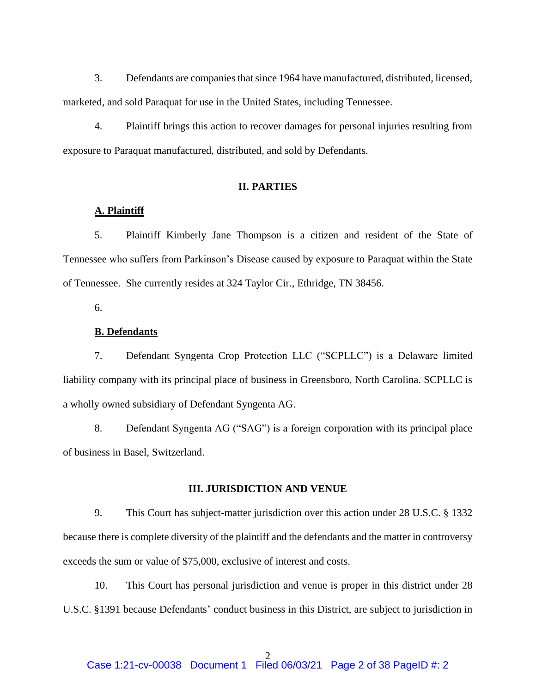3. Defendants are companies that since 1964 have manufactured, distributed, licensed, marketed, and sold Paraquat for use in the United States, including Tennessee.

4. Plaintiff brings this action to recover damages for personal injuries resulting from exposure to Paraquat manufactured, distributed, and sold by Defendants.

## **II. PARTIES**

## **A. Plaintiff**

5. Plaintiff Kimberly Jane Thompson is a citizen and resident of the State of Tennessee who suffers from Parkinson's Disease caused by exposure to Paraquat within the State of Tennessee. She currently resides at 324 Taylor Cir., Ethridge, TN 38456.

6.

# **B. Defendants**

7. Defendant Syngenta Crop Protection LLC ("SCPLLC") is a Delaware limited liability company with its principal place of business in Greensboro, North Carolina. SCPLLC is a wholly owned subsidiary of Defendant Syngenta AG.

8. Defendant Syngenta AG ("SAG") is a foreign corporation with its principal place of business in Basel, Switzerland.

#### **III. JURISDICTION AND VENUE**

9. This Court has subject-matter jurisdiction over this action under 28 U.S.C. § 1332 because there is complete diversity of the plaintiff and the defendants and the matter in controversy exceeds the sum or value of \$75,000, exclusive of interest and costs.

10. This Court has personal jurisdiction and venue is proper in this district under 28 U.S.C. §1391 because Defendants' conduct business in this District, are subject to jurisdiction in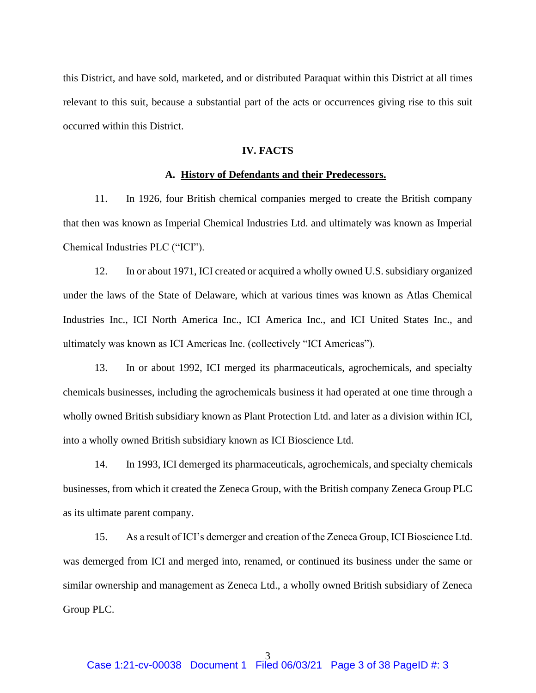this District, and have sold, marketed, and or distributed Paraquat within this District at all times relevant to this suit, because a substantial part of the acts or occurrences giving rise to this suit occurred within this District.

## **IV. FACTS**

### **A. History of Defendants and their Predecessors.**

11. In 1926, four British chemical companies merged to create the British company that then was known as Imperial Chemical Industries Ltd. and ultimately was known as Imperial Chemical Industries PLC ("ICI").

12. In or about 1971, ICI created or acquired a wholly owned U.S. subsidiary organized under the laws of the State of Delaware, which at various times was known as Atlas Chemical Industries Inc., ICI North America Inc., ICI America Inc., and ICI United States Inc., and ultimately was known as ICI Americas Inc. (collectively "ICI Americas").

13. In or about 1992, ICI merged its pharmaceuticals, agrochemicals, and specialty chemicals businesses, including the agrochemicals business it had operated at one time through a wholly owned British subsidiary known as Plant Protection Ltd. and later as a division within ICI, into a wholly owned British subsidiary known as ICI Bioscience Ltd.

14. In 1993, ICI demerged its pharmaceuticals, agrochemicals, and specialty chemicals businesses, from which it created the Zeneca Group, with the British company Zeneca Group PLC as its ultimate parent company.

15. As a result of ICI's demerger and creation of the Zeneca Group, ICI Bioscience Ltd. was demerged from ICI and merged into, renamed, or continued its business under the same or similar ownership and management as Zeneca Ltd., a wholly owned British subsidiary of Zeneca Group PLC.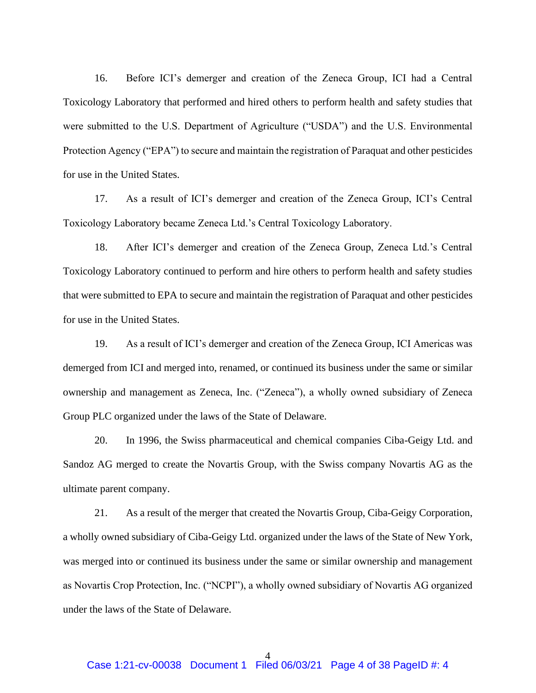16. Before ICI's demerger and creation of the Zeneca Group, ICI had a Central Toxicology Laboratory that performed and hired others to perform health and safety studies that were submitted to the U.S. Department of Agriculture ("USDA") and the U.S. Environmental Protection Agency ("EPA") to secure and maintain the registration of Paraquat and other pesticides for use in the United States.

17. As a result of ICI's demerger and creation of the Zeneca Group, ICI's Central Toxicology Laboratory became Zeneca Ltd.'s Central Toxicology Laboratory.

18. After ICI's demerger and creation of the Zeneca Group, Zeneca Ltd.'s Central Toxicology Laboratory continued to perform and hire others to perform health and safety studies that were submitted to EPA to secure and maintain the registration of Paraquat and other pesticides for use in the United States.

19. As a result of ICI's demerger and creation of the Zeneca Group, ICI Americas was demerged from ICI and merged into, renamed, or continued its business under the same or similar ownership and management as Zeneca, Inc. ("Zeneca"), a wholly owned subsidiary of Zeneca Group PLC organized under the laws of the State of Delaware.

20. In 1996, the Swiss pharmaceutical and chemical companies Ciba-Geigy Ltd. and Sandoz AG merged to create the Novartis Group, with the Swiss company Novartis AG as the ultimate parent company.

21. As a result of the merger that created the Novartis Group, Ciba-Geigy Corporation, a wholly owned subsidiary of Ciba-Geigy Ltd. organized under the laws of the State of New York, was merged into or continued its business under the same or similar ownership and management as Novartis Crop Protection, Inc. ("NCPI"), a wholly owned subsidiary of Novartis AG organized under the laws of the State of Delaware.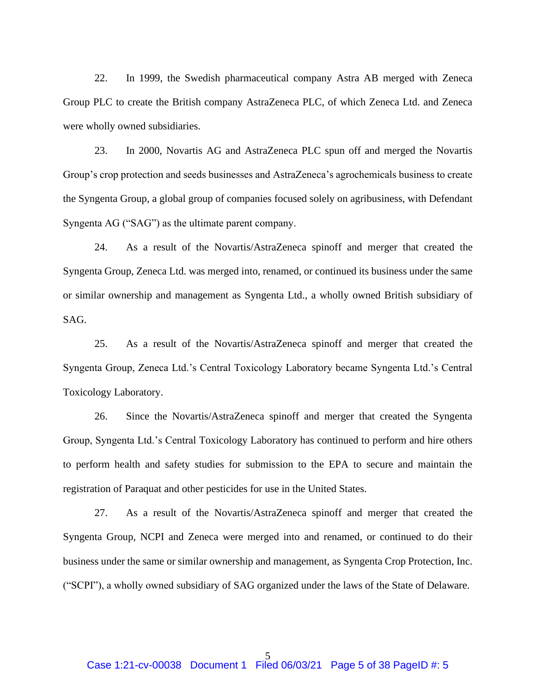22. In 1999, the Swedish pharmaceutical company Astra AB merged with Zeneca Group PLC to create the British company AstraZeneca PLC, of which Zeneca Ltd. and Zeneca were wholly owned subsidiaries.

23. In 2000, Novartis AG and AstraZeneca PLC spun off and merged the Novartis Group's crop protection and seeds businesses and AstraZeneca's agrochemicals business to create the Syngenta Group, a global group of companies focused solely on agribusiness, with Defendant Syngenta AG ("SAG") as the ultimate parent company.

24. As a result of the Novartis/AstraZeneca spinoff and merger that created the Syngenta Group, Zeneca Ltd. was merged into, renamed, or continued its business under the same or similar ownership and management as Syngenta Ltd., a wholly owned British subsidiary of SAG.

25. As a result of the Novartis/AstraZeneca spinoff and merger that created the Syngenta Group, Zeneca Ltd.'s Central Toxicology Laboratory became Syngenta Ltd.'s Central Toxicology Laboratory.

26. Since the Novartis/AstraZeneca spinoff and merger that created the Syngenta Group, Syngenta Ltd.'s Central Toxicology Laboratory has continued to perform and hire others to perform health and safety studies for submission to the EPA to secure and maintain the registration of Paraquat and other pesticides for use in the United States.

27. As a result of the Novartis/AstraZeneca spinoff and merger that created the Syngenta Group, NCPI and Zeneca were merged into and renamed, or continued to do their business under the same or similar ownership and management, as Syngenta Crop Protection, Inc. ("SCPI"), a wholly owned subsidiary of SAG organized under the laws of the State of Delaware.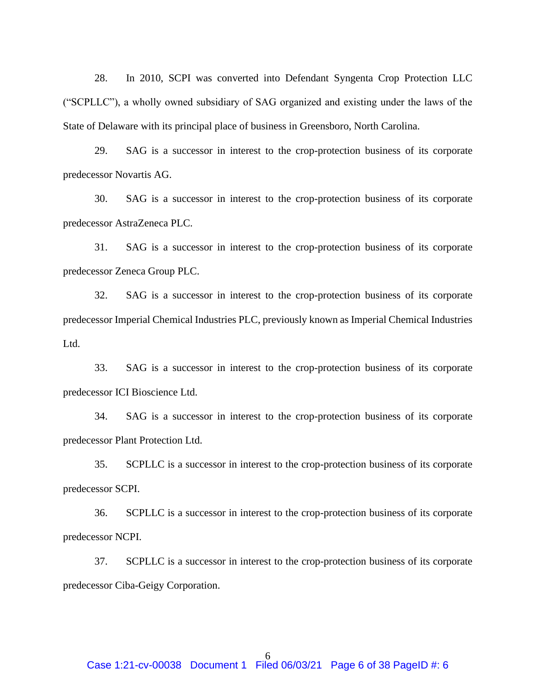28. In 2010, SCPI was converted into Defendant Syngenta Crop Protection LLC ("SCPLLC"), a wholly owned subsidiary of SAG organized and existing under the laws of the State of Delaware with its principal place of business in Greensboro, North Carolina.

29. SAG is a successor in interest to the crop-protection business of its corporate predecessor Novartis AG.

30. SAG is a successor in interest to the crop-protection business of its corporate predecessor AstraZeneca PLC.

31. SAG is a successor in interest to the crop-protection business of its corporate predecessor Zeneca Group PLC.

32. SAG is a successor in interest to the crop-protection business of its corporate predecessor Imperial Chemical Industries PLC, previously known as Imperial Chemical Industries Ltd.

33. SAG is a successor in interest to the crop-protection business of its corporate predecessor ICI Bioscience Ltd.

34. SAG is a successor in interest to the crop-protection business of its corporate predecessor Plant Protection Ltd.

35. SCPLLC is a successor in interest to the crop-protection business of its corporate predecessor SCPI.

36. SCPLLC is a successor in interest to the crop-protection business of its corporate predecessor NCPI.

37. SCPLLC is a successor in interest to the crop-protection business of its corporate predecessor Ciba-Geigy Corporation.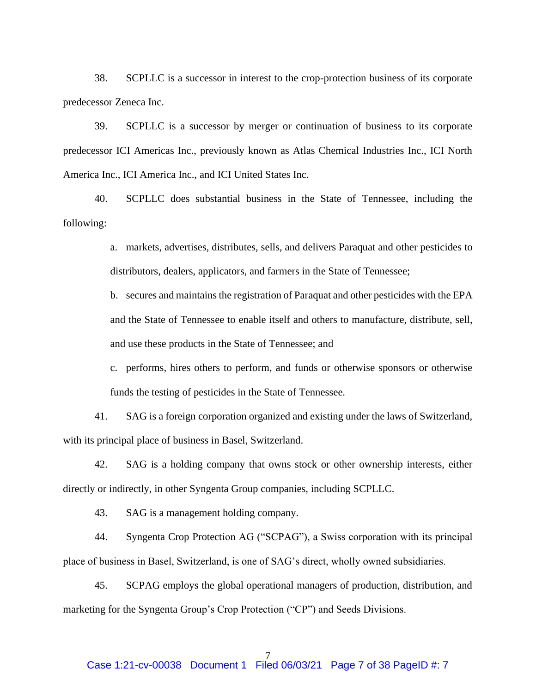38. SCPLLC is a successor in interest to the crop-protection business of its corporate predecessor Zeneca Inc.

39. SCPLLC is a successor by merger or continuation of business to its corporate predecessor ICI Americas Inc., previously known as Atlas Chemical Industries Inc., ICI North America Inc., ICI America Inc., and ICI United States Inc.

40. SCPLLC does substantial business in the State of Tennessee, including the following:

> a. markets, advertises, distributes, sells, and delivers Paraquat and other pesticides to distributors, dealers, applicators, and farmers in the State of Tennessee;

> b. secures and maintains the registration of Paraquat and other pesticides with the EPA and the State of Tennessee to enable itself and others to manufacture, distribute, sell, and use these products in the State of Tennessee; and

> c. performs, hires others to perform, and funds or otherwise sponsors or otherwise funds the testing of pesticides in the State of Tennessee.

41. SAG is a foreign corporation organized and existing under the laws of Switzerland, with its principal place of business in Basel, Switzerland.

42. SAG is a holding company that owns stock or other ownership interests, either directly or indirectly, in other Syngenta Group companies, including SCPLLC.

43. SAG is a management holding company.

44. Syngenta Crop Protection AG ("SCPAG"), a Swiss corporation with its principal place of business in Basel, Switzerland, is one of SAG's direct, wholly owned subsidiaries.

45. SCPAG employs the global operational managers of production, distribution, and marketing for the Syngenta Group's Crop Protection ("CP") and Seeds Divisions.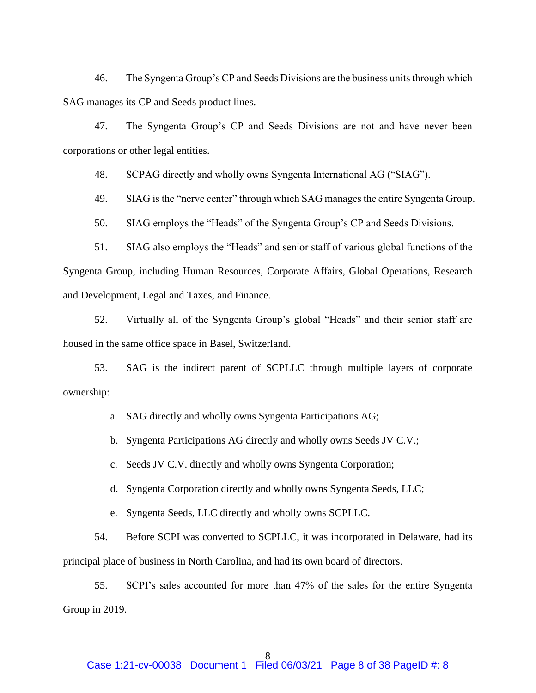46. The Syngenta Group's CP and Seeds Divisions are the business units through which SAG manages its CP and Seeds product lines.

47. The Syngenta Group's CP and Seeds Divisions are not and have never been corporations or other legal entities.

48. SCPAG directly and wholly owns Syngenta International AG ("SIAG").

49. SIAG is the "nerve center" through which SAG manages the entire Syngenta Group.

50. SIAG employs the "Heads" of the Syngenta Group's CP and Seeds Divisions.

51. SIAG also employs the "Heads" and senior staff of various global functions of the Syngenta Group, including Human Resources, Corporate Affairs, Global Operations, Research and Development, Legal and Taxes, and Finance.

52. Virtually all of the Syngenta Group's global "Heads" and their senior staff are housed in the same office space in Basel, Switzerland.

53. SAG is the indirect parent of SCPLLC through multiple layers of corporate ownership:

a. SAG directly and wholly owns Syngenta Participations AG;

b. Syngenta Participations AG directly and wholly owns Seeds JV C.V.;

c. Seeds JV C.V. directly and wholly owns Syngenta Corporation;

d. Syngenta Corporation directly and wholly owns Syngenta Seeds, LLC;

e. Syngenta Seeds, LLC directly and wholly owns SCPLLC.

54. Before SCPI was converted to SCPLLC, it was incorporated in Delaware, had its principal place of business in North Carolina, and had its own board of directors.

55. SCPI's sales accounted for more than 47% of the sales for the entire Syngenta Group in 2019.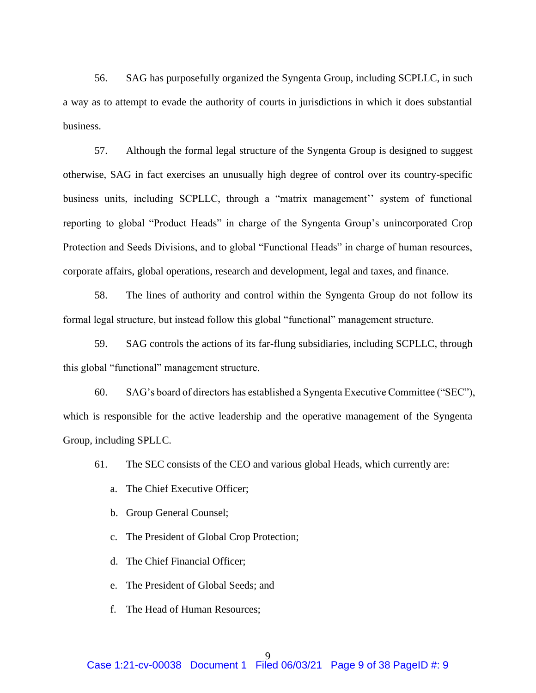56. SAG has purposefully organized the Syngenta Group, including SCPLLC, in such a way as to attempt to evade the authority of courts in jurisdictions in which it does substantial business.

57. Although the formal legal structure of the Syngenta Group is designed to suggest otherwise, SAG in fact exercises an unusually high degree of control over its country-specific business units, including SCPLLC, through a "matrix management'' system of functional reporting to global "Product Heads" in charge of the Syngenta Group's unincorporated Crop Protection and Seeds Divisions, and to global "Functional Heads" in charge of human resources, corporate affairs, global operations, research and development, legal and taxes, and finance.

58. The lines of authority and control within the Syngenta Group do not follow its formal legal structure, but instead follow this global "functional" management structure.

59. SAG controls the actions of its far-flung subsidiaries, including SCPLLC, through this global "functional" management structure.

60. SAG's board of directors has established a Syngenta Executive Committee ("SEC"), which is responsible for the active leadership and the operative management of the Syngenta Group, including SPLLC.

61. The SEC consists of the CEO and various global Heads, which currently are:

- a. The Chief Executive Officer;
- b. Group General Counsel;
- c. The President of Global Crop Protection;
- d. The Chief Financial Officer;
- e. The President of Global Seeds; and
- f. The Head of Human Resources;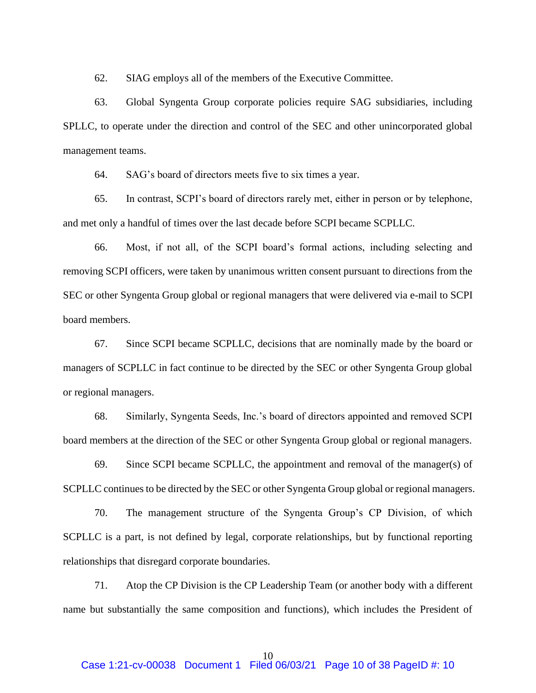62. SIAG employs all of the members of the Executive Committee.

63. Global Syngenta Group corporate policies require SAG subsidiaries, including SPLLC, to operate under the direction and control of the SEC and other unincorporated global management teams.

64. SAG's board of directors meets five to six times a year.

65. In contrast, SCPI's board of directors rarely met, either in person or by telephone, and met only a handful of times over the last decade before SCPI became SCPLLC.

66. Most, if not all, of the SCPI board's formal actions, including selecting and removing SCPI officers, were taken by unanimous written consent pursuant to directions from the SEC or other Syngenta Group global or regional managers that were delivered via e-mail to SCPI board members.

67. Since SCPI became SCPLLC, decisions that are nominally made by the board or managers of SCPLLC in fact continue to be directed by the SEC or other Syngenta Group global or regional managers.

68. Similarly, Syngenta Seeds, Inc.'s board of directors appointed and removed SCPI board members at the direction of the SEC or other Syngenta Group global or regional managers.

69. Since SCPI became SCPLLC, the appointment and removal of the manager(s) of SCPLLC continues to be directed by the SEC or other Syngenta Group global or regional managers.

70. The management structure of the Syngenta Group's CP Division, of which SCPLLC is a part, is not defined by legal, corporate relationships, but by functional reporting relationships that disregard corporate boundaries.

71. Atop the CP Division is the CP Leadership Team (or another body with a different name but substantially the same composition and functions), which includes the President of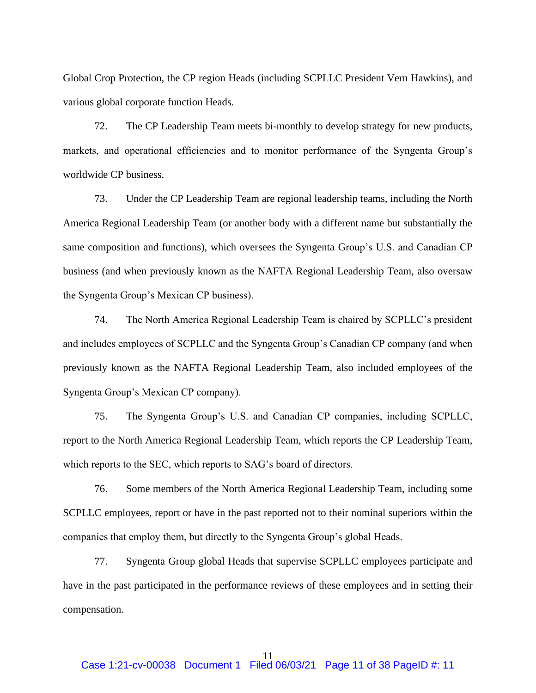Global Crop Protection, the CP region Heads (including SCPLLC President Vern Hawkins), and various global corporate function Heads.

72. The CP Leadership Team meets bi-monthly to develop strategy for new products, markets, and operational efficiencies and to monitor performance of the Syngenta Group's worldwide CP business.

73. Under the CP Leadership Team are regional leadership teams, including the North America Regional Leadership Team (or another body with a different name but substantially the same composition and functions), which oversees the Syngenta Group's U.S. and Canadian CP business (and when previously known as the NAFTA Regional Leadership Team, also oversaw the Syngenta Group's Mexican CP business).

74. The North America Regional Leadership Team is chaired by SCPLLC's president and includes employees of SCPLLC and the Syngenta Group's Canadian CP company (and when previously known as the NAFTA Regional Leadership Team, also included employees of the Syngenta Group's Mexican CP company).

75. The Syngenta Group's U.S. and Canadian CP companies, including SCPLLC, report to the North America Regional Leadership Team, which reports the CP Leadership Team, which reports to the SEC, which reports to SAG's board of directors.

76. Some members of the North America Regional Leadership Team, including some SCPLLC employees, report or have in the past reported not to their nominal superiors within the companies that employ them, but directly to the Syngenta Group's global Heads.

77. Syngenta Group global Heads that supervise SCPLLC employees participate and have in the past participated in the performance reviews of these employees and in setting their compensation.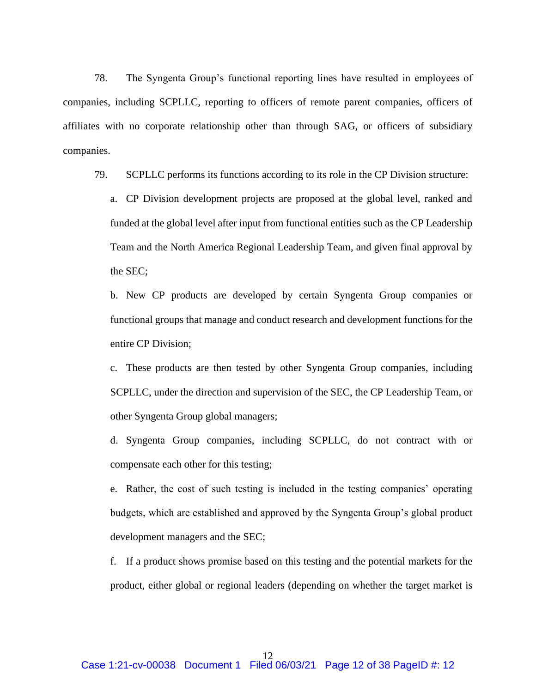78. The Syngenta Group's functional reporting lines have resulted in employees of companies, including SCPLLC, reporting to officers of remote parent companies, officers of affiliates with no corporate relationship other than through SAG, or officers of subsidiary companies.

79. SCPLLC performs its functions according to its role in the CP Division structure:

a. CP Division development projects are proposed at the global level, ranked and funded at the global level after input from functional entities such as the CP Leadership Team and the North America Regional Leadership Team, and given final approval by the SEC;

b. New CP products are developed by certain Syngenta Group companies or functional groups that manage and conduct research and development functions for the entire CP Division;

c. These products are then tested by other Syngenta Group companies, including SCPLLC, under the direction and supervision of the SEC, the CP Leadership Team, or other Syngenta Group global managers;

d. Syngenta Group companies, including SCPLLC, do not contract with or compensate each other for this testing;

e. Rather, the cost of such testing is included in the testing companies' operating budgets, which are established and approved by the Syngenta Group's global product development managers and the SEC;

f. If a product shows promise based on this testing and the potential markets for the product, either global or regional leaders (depending on whether the target market is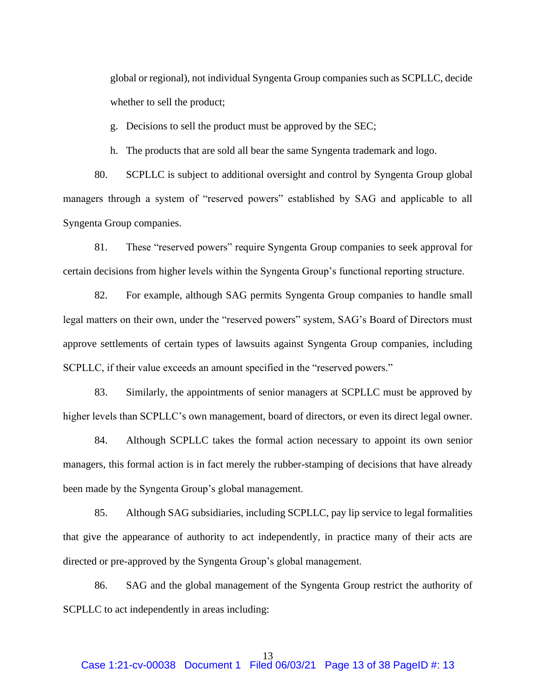global or regional), not individual Syngenta Group companies such as SCPLLC, decide whether to sell the product;

g. Decisions to sell the product must be approved by the SEC;

h. The products that are sold all bear the same Syngenta trademark and logo.

80. SCPLLC is subject to additional oversight and control by Syngenta Group global managers through a system of "reserved powers" established by SAG and applicable to all Syngenta Group companies.

81. These "reserved powers" require Syngenta Group companies to seek approval for certain decisions from higher levels within the Syngenta Group's functional reporting structure.

82. For example, although SAG permits Syngenta Group companies to handle small legal matters on their own, under the "reserved powers" system, SAG's Board of Directors must approve settlements of certain types of lawsuits against Syngenta Group companies, including SCPLLC, if their value exceeds an amount specified in the "reserved powers."

83. Similarly, the appointments of senior managers at SCPLLC must be approved by higher levels than SCPLLC's own management, board of directors, or even its direct legal owner.

84. Although SCPLLC takes the formal action necessary to appoint its own senior managers, this formal action is in fact merely the rubber-stamping of decisions that have already been made by the Syngenta Group's global management.

85. Although SAG subsidiaries, including SCPLLC, pay lip service to legal formalities that give the appearance of authority to act independently, in practice many of their acts are directed or pre-approved by the Syngenta Group's global management.

86. SAG and the global management of the Syngenta Group restrict the authority of SCPLLC to act independently in areas including: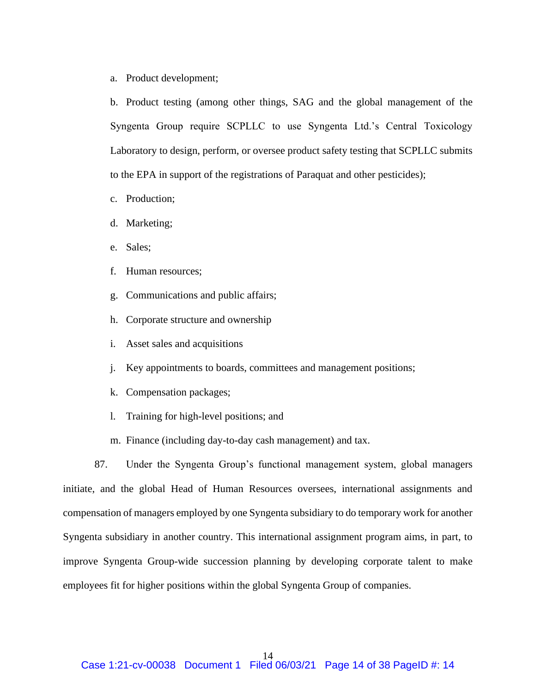a. Product development;

b. Product testing (among other things, SAG and the global management of the Syngenta Group require SCPLLC to use Syngenta Ltd.'s Central Toxicology Laboratory to design, perform, or oversee product safety testing that SCPLLC submits to the EPA in support of the registrations of Paraquat and other pesticides);

- c. Production;
- d. Marketing;
- e. Sales;
- f. Human resources;
- g. Communications and public affairs;
- h. Corporate structure and ownership
- i. Asset sales and acquisitions
- j. Key appointments to boards, committees and management positions;
- k. Compensation packages;
- l. Training for high-level positions; and
- m. Finance (including day-to-day cash management) and tax.

87. Under the Syngenta Group's functional management system, global managers initiate, and the global Head of Human Resources oversees, international assignments and compensation of managers employed by one Syngenta subsidiary to do temporary work for another Syngenta subsidiary in another country. This international assignment program aims, in part, to improve Syngenta Group-wide succession planning by developing corporate talent to make employees fit for higher positions within the global Syngenta Group of companies.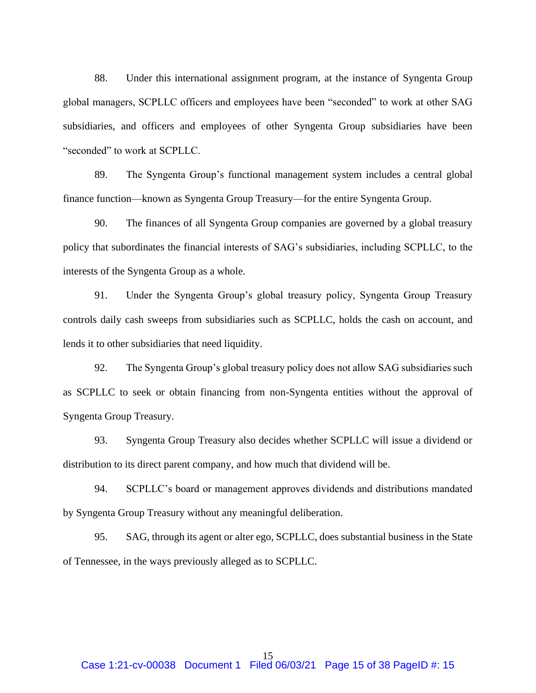88. Under this international assignment program, at the instance of Syngenta Group global managers, SCPLLC officers and employees have been "seconded" to work at other SAG subsidiaries, and officers and employees of other Syngenta Group subsidiaries have been "seconded" to work at SCPLLC.

89. The Syngenta Group's functional management system includes a central global finance function—known as Syngenta Group Treasury—for the entire Syngenta Group.

90. The finances of all Syngenta Group companies are governed by a global treasury policy that subordinates the financial interests of SAG's subsidiaries, including SCPLLC, to the interests of the Syngenta Group as a whole.

91. Under the Syngenta Group's global treasury policy, Syngenta Group Treasury controls daily cash sweeps from subsidiaries such as SCPLLC, holds the cash on account, and lends it to other subsidiaries that need liquidity.

92. The Syngenta Group's global treasury policy does not allow SAG subsidiaries such as SCPLLC to seek or obtain financing from non-Syngenta entities without the approval of Syngenta Group Treasury.

93. Syngenta Group Treasury also decides whether SCPLLC will issue a dividend or distribution to its direct parent company, and how much that dividend will be.

94. SCPLLC's board or management approves dividends and distributions mandated by Syngenta Group Treasury without any meaningful deliberation.

95. SAG, through its agent or alter ego, SCPLLC, does substantial business in the State of Tennessee, in the ways previously alleged as to SCPLLC.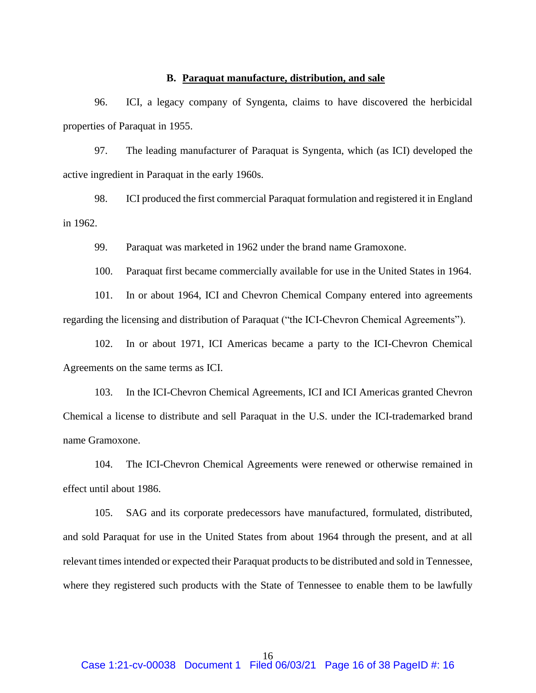## **B. Paraquat manufacture, distribution, and sale**

96. ICI, a legacy company of Syngenta, claims to have discovered the herbicidal properties of Paraquat in 1955.

97. The leading manufacturer of Paraquat is Syngenta, which (as ICI) developed the active ingredient in Paraquat in the early 1960s.

98. ICI produced the first commercial Paraquat formulation and registered it in England in 1962.

99. Paraquat was marketed in 1962 under the brand name Gramoxone.

100. Paraquat first became commercially available for use in the United States in 1964.

101. In or about 1964, ICI and Chevron Chemical Company entered into agreements regarding the licensing and distribution of Paraquat ("the ICI-Chevron Chemical Agreements").

102. In or about 1971, ICI Americas became a party to the ICI-Chevron Chemical Agreements on the same terms as ICI.

103. In the ICI-Chevron Chemical Agreements, ICI and ICI Americas granted Chevron Chemical a license to distribute and sell Paraquat in the U.S. under the ICI-trademarked brand name Gramoxone.

104. The ICI-Chevron Chemical Agreements were renewed or otherwise remained in effect until about 1986.

105. SAG and its corporate predecessors have manufactured, formulated, distributed, and sold Paraquat for use in the United States from about 1964 through the present, and at all relevant times intended or expected their Paraquat products to be distributed and sold in Tennessee, where they registered such products with the State of Tennessee to enable them to be lawfully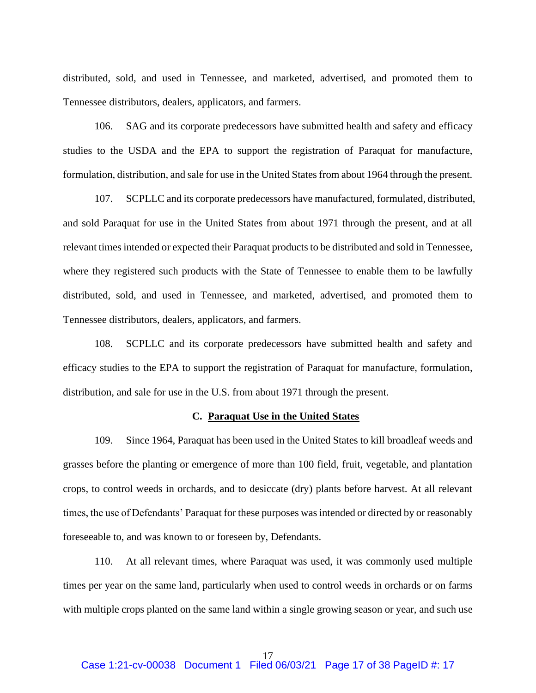distributed, sold, and used in Tennessee, and marketed, advertised, and promoted them to Tennessee distributors, dealers, applicators, and farmers.

106. SAG and its corporate predecessors have submitted health and safety and efficacy studies to the USDA and the EPA to support the registration of Paraquat for manufacture, formulation, distribution, and sale for use in the United States from about 1964 through the present.

107. SCPLLC and its corporate predecessors have manufactured, formulated, distributed, and sold Paraquat for use in the United States from about 1971 through the present, and at all relevant times intended or expected their Paraquat products to be distributed and sold in Tennessee, where they registered such products with the State of Tennessee to enable them to be lawfully distributed, sold, and used in Tennessee, and marketed, advertised, and promoted them to Tennessee distributors, dealers, applicators, and farmers.

108. SCPLLC and its corporate predecessors have submitted health and safety and efficacy studies to the EPA to support the registration of Paraquat for manufacture, formulation, distribution, and sale for use in the U.S. from about 1971 through the present.

#### **C. Paraquat Use in the United States**

109. Since 1964, Paraquat has been used in the United States to kill broadleaf weeds and grasses before the planting or emergence of more than 100 field, fruit, vegetable, and plantation crops, to control weeds in orchards, and to desiccate (dry) plants before harvest. At all relevant times, the use of Defendants' Paraquat for these purposes was intended or directed by or reasonably foreseeable to, and was known to or foreseen by, Defendants.

110. At all relevant times, where Paraquat was used, it was commonly used multiple times per year on the same land, particularly when used to control weeds in orchards or on farms with multiple crops planted on the same land within a single growing season or year, and such use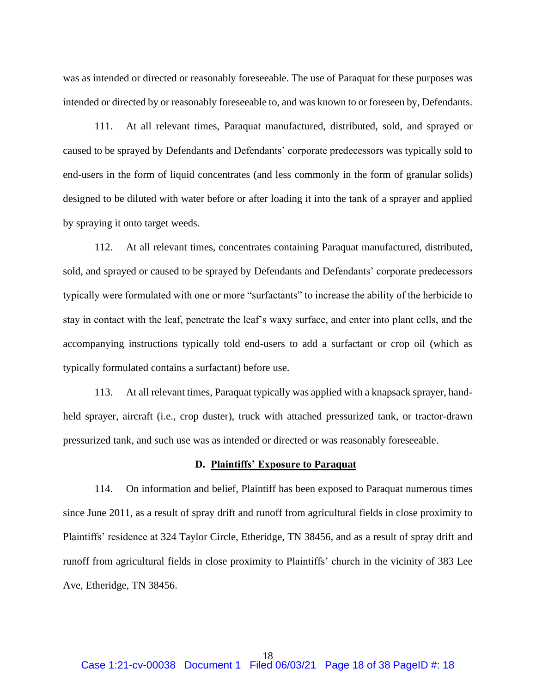was as intended or directed or reasonably foreseeable. The use of Paraquat for these purposes was intended or directed by or reasonably foreseeable to, and was known to or foreseen by, Defendants.

111. At all relevant times, Paraquat manufactured, distributed, sold, and sprayed or caused to be sprayed by Defendants and Defendants' corporate predecessors was typically sold to end-users in the form of liquid concentrates (and less commonly in the form of granular solids) designed to be diluted with water before or after loading it into the tank of a sprayer and applied by spraying it onto target weeds.

112. At all relevant times, concentrates containing Paraquat manufactured, distributed, sold, and sprayed or caused to be sprayed by Defendants and Defendants' corporate predecessors typically were formulated with one or more "surfactants" to increase the ability of the herbicide to stay in contact with the leaf, penetrate the leaf's waxy surface, and enter into plant cells, and the accompanying instructions typically told end-users to add a surfactant or crop oil (which as typically formulated contains a surfactant) before use.

113. At all relevant times, Paraquat typically was applied with a knapsack sprayer, handheld sprayer, aircraft (i.e., crop duster), truck with attached pressurized tank, or tractor-drawn pressurized tank, and such use was as intended or directed or was reasonably foreseeable.

#### **D. Plaintiffs' Exposure to Paraquat**

114. On information and belief, Plaintiff has been exposed to Paraquat numerous times since June 2011, as a result of spray drift and runoff from agricultural fields in close proximity to Plaintiffs' residence at 324 Taylor Circle, Etheridge, TN 38456, and as a result of spray drift and runoff from agricultural fields in close proximity to Plaintiffs' church in the vicinity of 383 Lee Ave, Etheridge, TN 38456.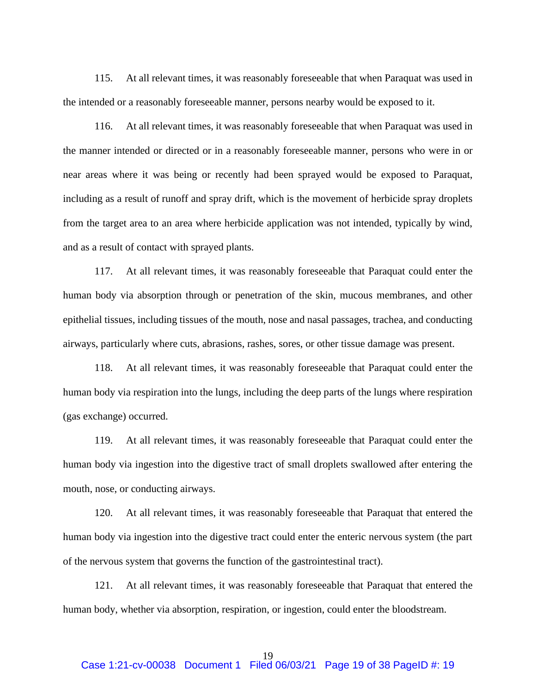115. At all relevant times, it was reasonably foreseeable that when Paraquat was used in the intended or a reasonably foreseeable manner, persons nearby would be exposed to it.

116. At all relevant times, it was reasonably foreseeable that when Paraquat was used in the manner intended or directed or in a reasonably foreseeable manner, persons who were in or near areas where it was being or recently had been sprayed would be exposed to Paraquat, including as a result of runoff and spray drift, which is the movement of herbicide spray droplets from the target area to an area where herbicide application was not intended, typically by wind, and as a result of contact with sprayed plants.

117. At all relevant times, it was reasonably foreseeable that Paraquat could enter the human body via absorption through or penetration of the skin, mucous membranes, and other epithelial tissues, including tissues of the mouth, nose and nasal passages, trachea, and conducting airways, particularly where cuts, abrasions, rashes, sores, or other tissue damage was present.

118. At all relevant times, it was reasonably foreseeable that Paraquat could enter the human body via respiration into the lungs, including the deep parts of the lungs where respiration (gas exchange) occurred.

119. At all relevant times, it was reasonably foreseeable that Paraquat could enter the human body via ingestion into the digestive tract of small droplets swallowed after entering the mouth, nose, or conducting airways.

120. At all relevant times, it was reasonably foreseeable that Paraquat that entered the human body via ingestion into the digestive tract could enter the enteric nervous system (the part of the nervous system that governs the function of the gastrointestinal tract).

121. At all relevant times, it was reasonably foreseeable that Paraquat that entered the human body, whether via absorption, respiration, or ingestion, could enter the bloodstream.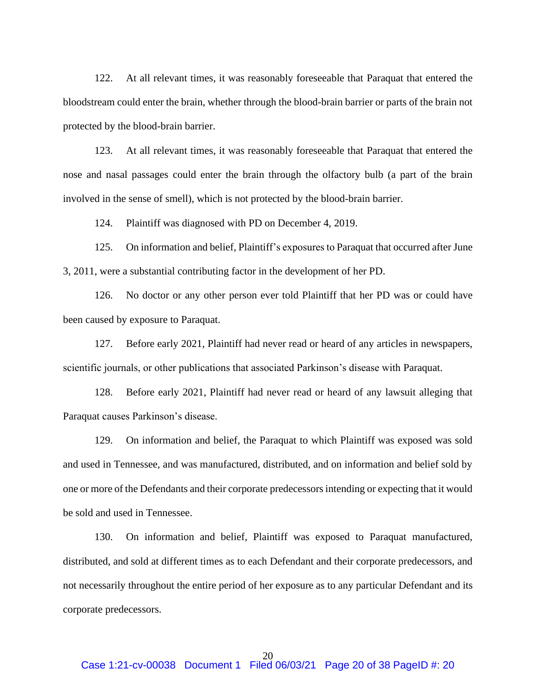122. At all relevant times, it was reasonably foreseeable that Paraquat that entered the bloodstream could enter the brain, whether through the blood-brain barrier or parts of the brain not protected by the blood-brain barrier.

123. At all relevant times, it was reasonably foreseeable that Paraquat that entered the nose and nasal passages could enter the brain through the olfactory bulb (a part of the brain involved in the sense of smell), which is not protected by the blood-brain barrier.

124. Plaintiff was diagnosed with PD on December 4, 2019.

125. On information and belief, Plaintiff's exposures to Paraquat that occurred after June 3, 2011, were a substantial contributing factor in the development of her PD.

126. No doctor or any other person ever told Plaintiff that her PD was or could have been caused by exposure to Paraquat.

127. Before early 2021, Plaintiff had never read or heard of any articles in newspapers, scientific journals, or other publications that associated Parkinson's disease with Paraquat.

128. Before early 2021, Plaintiff had never read or heard of any lawsuit alleging that Paraquat causes Parkinson's disease.

129. On information and belief, the Paraquat to which Plaintiff was exposed was sold and used in Tennessee, and was manufactured, distributed, and on information and belief sold by one or more of the Defendants and their corporate predecessors intending or expecting that it would be sold and used in Tennessee.

130. On information and belief, Plaintiff was exposed to Paraquat manufactured, distributed, and sold at different times as to each Defendant and their corporate predecessors, and not necessarily throughout the entire period of her exposure as to any particular Defendant and its corporate predecessors.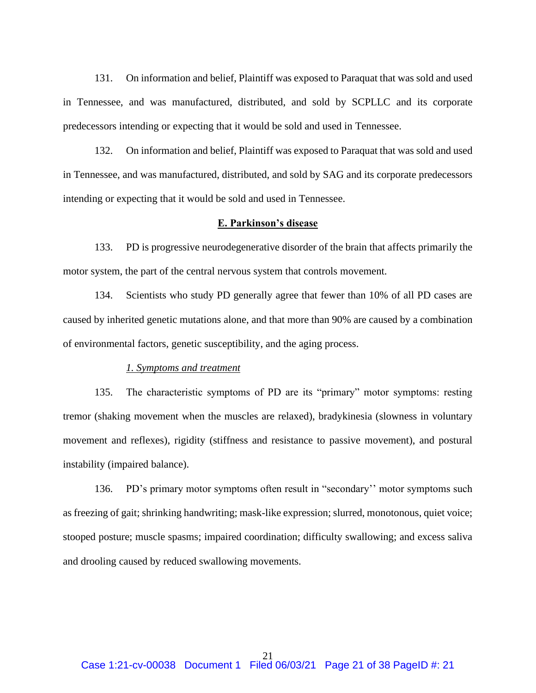131. On information and belief, Plaintiff was exposed to Paraquat that was sold and used in Tennessee, and was manufactured, distributed, and sold by SCPLLC and its corporate predecessors intending or expecting that it would be sold and used in Tennessee.

132. On information and belief, Plaintiff was exposed to Paraquat that was sold and used in Tennessee, and was manufactured, distributed, and sold by SAG and its corporate predecessors intending or expecting that it would be sold and used in Tennessee.

## **E. Parkinson's disease**

133. PD is progressive neurodegenerative disorder of the brain that affects primarily the motor system, the part of the central nervous system that controls movement.

134. Scientists who study PD generally agree that fewer than 10% of all PD cases are caused by inherited genetic mutations alone, and that more than 90% are caused by a combination of environmental factors, genetic susceptibility, and the aging process.

### *1. Symptoms and treatment*

135. The characteristic symptoms of PD are its "primary" motor symptoms: resting tremor (shaking movement when the muscles are relaxed), bradykinesia (slowness in voluntary movement and reflexes), rigidity (stiffness and resistance to passive movement), and postural instability (impaired balance).

136. PD's primary motor symptoms often result in "secondary'' motor symptoms such as freezing of gait; shrinking handwriting; mask-like expression; slurred, monotonous, quiet voice; stooped posture; muscle spasms; impaired coordination; difficulty swallowing; and excess saliva and drooling caused by reduced swallowing movements.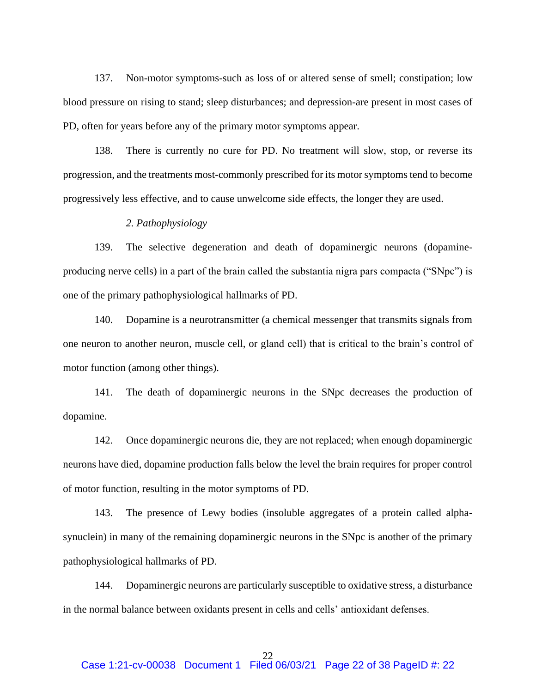137. Non-motor symptoms-such as loss of or altered sense of smell; constipation; low blood pressure on rising to stand; sleep disturbances; and depression-are present in most cases of PD, often for years before any of the primary motor symptoms appear.

138. There is currently no cure for PD. No treatment will slow, stop, or reverse its progression, and the treatments most-commonly prescribed for its motor symptoms tend to become progressively less effective, and to cause unwelcome side effects, the longer they are used.

#### *2. Pathophysiology*

139. The selective degeneration and death of dopaminergic neurons (dopamineproducing nerve cells) in a part of the brain called the substantia nigra pars compacta ("SNpc") is one of the primary pathophysiological hallmarks of PD.

140. Dopamine is a neurotransmitter (a chemical messenger that transmits signals from one neuron to another neuron, muscle cell, or gland cell) that is critical to the brain's control of motor function (among other things).

141. The death of dopaminergic neurons in the SNpc decreases the production of dopamine.

142. Once dopaminergic neurons die, they are not replaced; when enough dopaminergic neurons have died, dopamine production falls below the level the brain requires for proper control of motor function, resulting in the motor symptoms of PD.

143. The presence of Lewy bodies (insoluble aggregates of a protein called alphasynuclein) in many of the remaining dopaminergic neurons in the SNpc is another of the primary pathophysiological hallmarks of PD.

144. Dopaminergic neurons are particularly susceptible to oxidative stress, a disturbance in the normal balance between oxidants present in cells and cells' antioxidant defenses.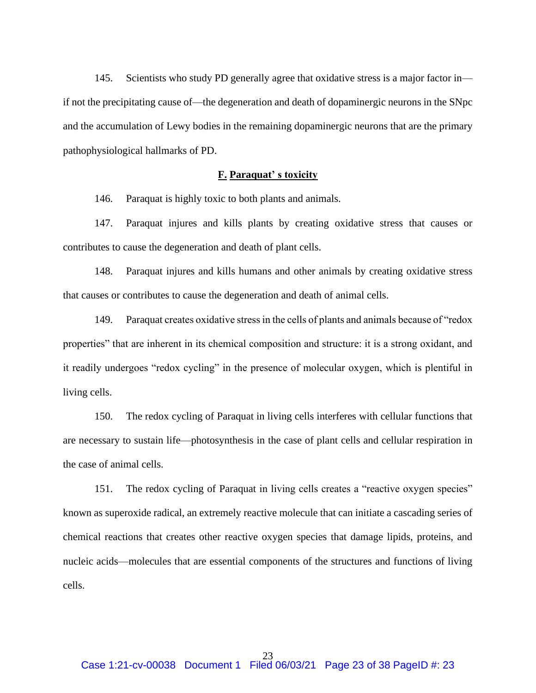145. Scientists who study PD generally agree that oxidative stress is a major factor in if not the precipitating cause of—the degeneration and death of dopaminergic neurons in the SNpc and the accumulation of Lewy bodies in the remaining dopaminergic neurons that are the primary pathophysiological hallmarks of PD.

### **F. Paraquat' s toxicity**

146. Paraquat is highly toxic to both plants and animals.

147. Paraquat injures and kills plants by creating oxidative stress that causes or contributes to cause the degeneration and death of plant cells.

148. Paraquat injures and kills humans and other animals by creating oxidative stress that causes or contributes to cause the degeneration and death of animal cells.

149. Paraquat creates oxidative stress in the cells of plants and animals because of "redox properties" that are inherent in its chemical composition and structure: it is a strong oxidant, and it readily undergoes "redox cycling" in the presence of molecular oxygen, which is plentiful in living cells.

150. The redox cycling of Paraquat in living cells interferes with cellular functions that are necessary to sustain life—photosynthesis in the case of plant cells and cellular respiration in the case of animal cells.

151. The redox cycling of Paraquat in living cells creates a "reactive oxygen species" known as superoxide radical, an extremely reactive molecule that can initiate a cascading series of chemical reactions that creates other reactive oxygen species that damage lipids, proteins, and nucleic acids—molecules that are essential components of the structures and functions of living cells.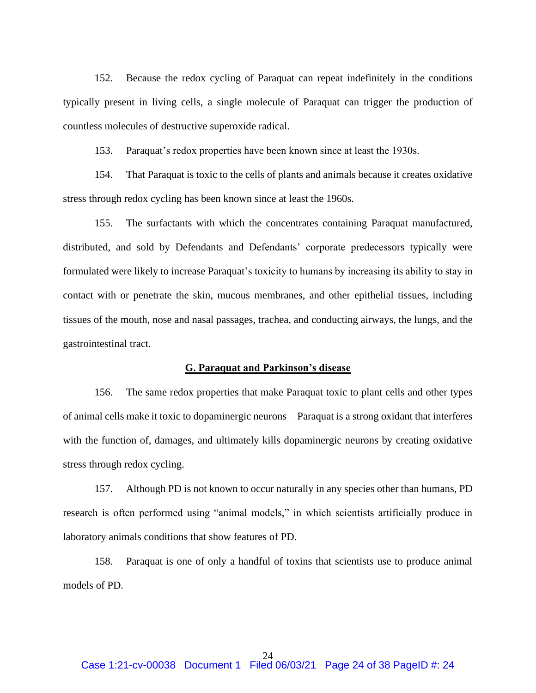152. Because the redox cycling of Paraquat can repeat indefinitely in the conditions typically present in living cells, a single molecule of Paraquat can trigger the production of countless molecules of destructive superoxide radical.

153. Paraquat's redox properties have been known since at least the 1930s.

154. That Paraquat is toxic to the cells of plants and animals because it creates oxidative stress through redox cycling has been known since at least the 1960s.

155. The surfactants with which the concentrates containing Paraquat manufactured, distributed, and sold by Defendants and Defendants' corporate predecessors typically were formulated were likely to increase Paraquat's toxicity to humans by increasing its ability to stay in contact with or penetrate the skin, mucous membranes, and other epithelial tissues, including tissues of the mouth, nose and nasal passages, trachea, and conducting airways, the lungs, and the gastrointestinal tract.

### **G. Paraquat and Parkinson's disease**

156. The same redox properties that make Paraquat toxic to plant cells and other types of animal cells make it toxic to dopaminergic neurons—Paraquat is a strong oxidant that interferes with the function of, damages, and ultimately kills dopaminergic neurons by creating oxidative stress through redox cycling.

157. Although PD is not known to occur naturally in any species other than humans, PD research is often performed using "animal models," in which scientists artificially produce in laboratory animals conditions that show features of PD.

158. Paraquat is one of only a handful of toxins that scientists use to produce animal models of PD.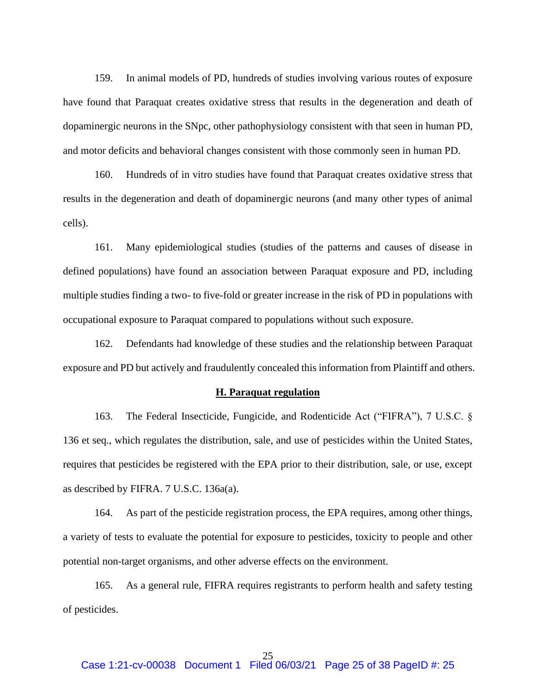159. In animal models of PD, hundreds of studies involving various routes of exposure have found that Paraquat creates oxidative stress that results in the degeneration and death of dopaminergic neurons in the SNpc, other pathophysiology consistent with that seen in human PD, and motor deficits and behavioral changes consistent with those commonly seen in human PD.

160. Hundreds of in vitro studies have found that Paraquat creates oxidative stress that results in the degeneration and death of dopaminergic neurons (and many other types of animal cells).

161. Many epidemiological studies (studies of the patterns and causes of disease in defined populations) have found an association between Paraquat exposure and PD, including multiple studies finding a two- to five-fold or greater increase in the risk of PD in populations with occupational exposure to Paraquat compared to populations without such exposure.

162. Defendants had knowledge of these studies and the relationship between Paraquat exposure and PD but actively and fraudulently concealed this information from Plaintiff and others.

### **H. Paraquat regulation**

163. The Federal Insecticide, Fungicide, and Rodenticide Act ("FIFRA"), 7 U.S.C. § 136 et seq., which regulates the distribution, sale, and use of pesticides within the United States, requires that pesticides be registered with the EPA prior to their distribution, sale, or use, except as described by FIFRA. 7 U.S.C. 136a(a).

164. As part of the pesticide registration process, the EPA requires, among other things, a variety of tests to evaluate the potential for exposure to pesticides, toxicity to people and other potential non-target organisms, and other adverse effects on the environment.

165. As a general rule, FIFRA requires registrants to perform health and safety testing of pesticides.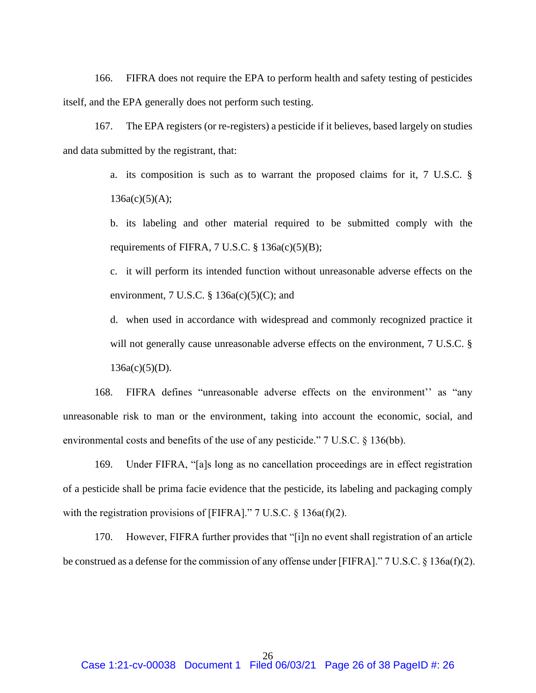166. FIFRA does not require the EPA to perform health and safety testing of pesticides itself, and the EPA generally does not perform such testing.

167. The EPA registers (or re-registers) a pesticide if it believes, based largely on studies and data submitted by the registrant, that:

> a. its composition is such as to warrant the proposed claims for it, 7 U.S.C. §  $136a(c)(5)(A);$

> b. its labeling and other material required to be submitted comply with the requirements of FIFRA,  $7 \text{ U.S.C.} \$ §  $136a(c)(5)(B)$ ;

> c. it will perform its intended function without unreasonable adverse effects on the environment,  $7 \text{ U.S.C. }$ §  $136a(c)(5)(C)$ ; and

> d. when used in accordance with widespread and commonly recognized practice it will not generally cause unreasonable adverse effects on the environment, 7 U.S.C. §  $136a(c)(5)(D)$ .

168. FIFRA defines "unreasonable adverse effects on the environment'' as "any unreasonable risk to man or the environment, taking into account the economic, social, and environmental costs and benefits of the use of any pesticide." 7 U.S.C. § 136(bb).

169. Under FIFRA, "[a]s long as no cancellation proceedings are in effect registration of a pesticide shall be prima facie evidence that the pesticide, its labeling and packaging comply with the registration provisions of [FIFRA]."  $7 \text{ U.S.C.}$  § 136a(f)(2).

170. However, FIFRA further provides that "[i]n no event shall registration of an article be construed as a defense for the commission of any offense under [FIFRA]." 7 U.S.C. § 136a(f)(2).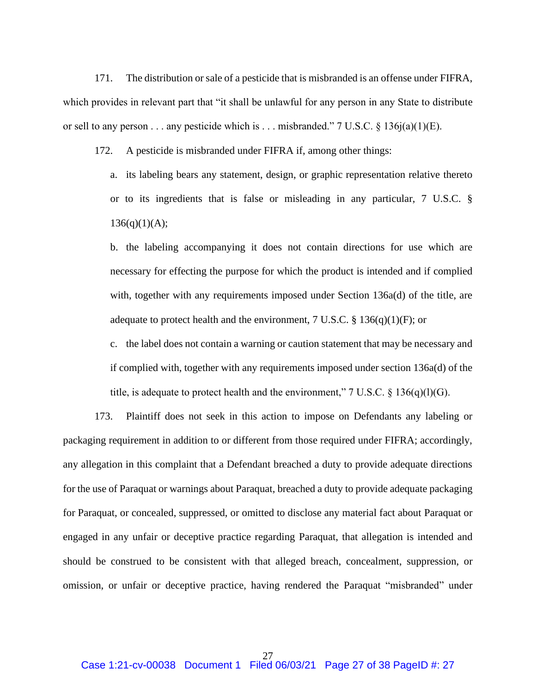171. The distribution or sale of a pesticide that is misbranded is an offense under FIFRA, which provides in relevant part that "it shall be unlawful for any person in any State to distribute or sell to any person . . . any pesticide which is . . . misbranded." 7 U.S.C.  $\S$  136j(a)(1)(E).

172. A pesticide is misbranded under FIFRA if, among other things:

a. its labeling bears any statement, design, or graphic representation relative thereto or to its ingredients that is false or misleading in any particular, 7 U.S.C. §  $136(q)(1)(A);$ 

b. the labeling accompanying it does not contain directions for use which are necessary for effecting the purpose for which the product is intended and if complied with, together with any requirements imposed under Section 136a(d) of the title, are adequate to protect health and the environment,  $7 \text{ U.S.C.} \text{ } \text{\$ } 136(q)(1)(F)$ ; or

c. the label does not contain a warning or caution statement that may be necessary and if complied with, together with any requirements imposed under section 136a(d) of the title, is adequate to protect health and the environment,"  $7 \text{ U.S.C.} \$   $136(q)(1)(G)$ .

173. Plaintiff does not seek in this action to impose on Defendants any labeling or packaging requirement in addition to or different from those required under FIFRA; accordingly, any allegation in this complaint that a Defendant breached a duty to provide adequate directions for the use of Paraquat or warnings about Paraquat, breached a duty to provide adequate packaging for Paraquat, or concealed, suppressed, or omitted to disclose any material fact about Paraquat or engaged in any unfair or deceptive practice regarding Paraquat, that allegation is intended and should be construed to be consistent with that alleged breach, concealment, suppression, or omission, or unfair or deceptive practice, having rendered the Paraquat "misbranded" under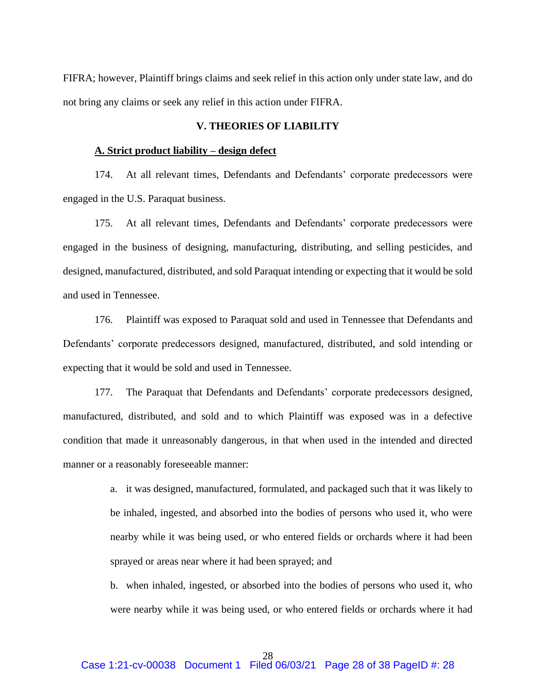FIFRA; however, Plaintiff brings claims and seek relief in this action only under state law, and do not bring any claims or seek any relief in this action under FIFRA.

## **V. THEORIES OF LIABILITY**

### **A. Strict product liability – design defect**

174. At all relevant times, Defendants and Defendants' corporate predecessors were engaged in the U.S. Paraquat business.

175. At all relevant times, Defendants and Defendants' corporate predecessors were engaged in the business of designing, manufacturing, distributing, and selling pesticides, and designed, manufactured, distributed, and sold Paraquat intending or expecting that it would be sold and used in Tennessee.

176. Plaintiff was exposed to Paraquat sold and used in Tennessee that Defendants and Defendants' corporate predecessors designed, manufactured, distributed, and sold intending or expecting that it would be sold and used in Tennessee.

177. The Paraquat that Defendants and Defendants' corporate predecessors designed, manufactured, distributed, and sold and to which Plaintiff was exposed was in a defective condition that made it unreasonably dangerous, in that when used in the intended and directed manner or a reasonably foreseeable manner:

> a. it was designed, manufactured, formulated, and packaged such that it was likely to be inhaled, ingested, and absorbed into the bodies of persons who used it, who were nearby while it was being used, or who entered fields or orchards where it had been sprayed or areas near where it had been sprayed; and

> b. when inhaled, ingested, or absorbed into the bodies of persons who used it, who were nearby while it was being used, or who entered fields or orchards where it had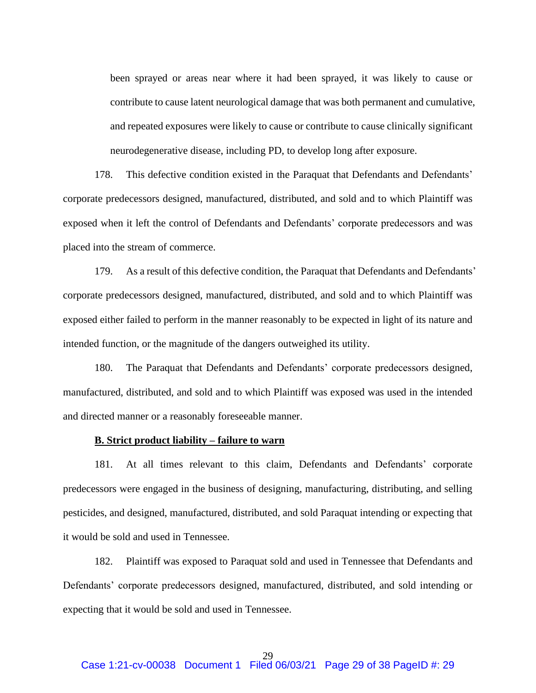been sprayed or areas near where it had been sprayed, it was likely to cause or contribute to cause latent neurological damage that was both permanent and cumulative, and repeated exposures were likely to cause or contribute to cause clinically significant neurodegenerative disease, including PD, to develop long after exposure.

178. This defective condition existed in the Paraquat that Defendants and Defendants' corporate predecessors designed, manufactured, distributed, and sold and to which Plaintiff was exposed when it left the control of Defendants and Defendants' corporate predecessors and was placed into the stream of commerce.

179. As a result of this defective condition, the Paraquat that Defendants and Defendants' corporate predecessors designed, manufactured, distributed, and sold and to which Plaintiff was exposed either failed to perform in the manner reasonably to be expected in light of its nature and intended function, or the magnitude of the dangers outweighed its utility.

180. The Paraquat that Defendants and Defendants' corporate predecessors designed, manufactured, distributed, and sold and to which Plaintiff was exposed was used in the intended and directed manner or a reasonably foreseeable manner.

## **B. Strict product liability – failure to warn**

181. At all times relevant to this claim, Defendants and Defendants' corporate predecessors were engaged in the business of designing, manufacturing, distributing, and selling pesticides, and designed, manufactured, distributed, and sold Paraquat intending or expecting that it would be sold and used in Tennessee.

182. Plaintiff was exposed to Paraquat sold and used in Tennessee that Defendants and Defendants' corporate predecessors designed, manufactured, distributed, and sold intending or expecting that it would be sold and used in Tennessee.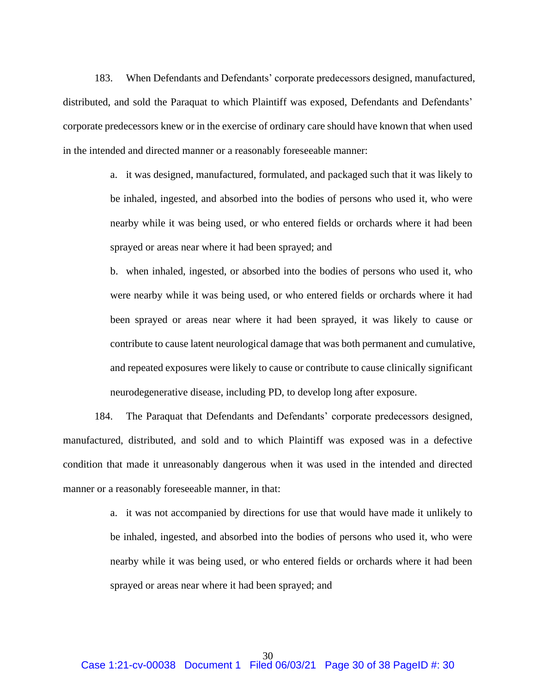183. When Defendants and Defendants' corporate predecessors designed, manufactured, distributed, and sold the Paraquat to which Plaintiff was exposed, Defendants and Defendants' corporate predecessors knew or in the exercise of ordinary care should have known that when used in the intended and directed manner or a reasonably foreseeable manner:

> a. it was designed, manufactured, formulated, and packaged such that it was likely to be inhaled, ingested, and absorbed into the bodies of persons who used it, who were nearby while it was being used, or who entered fields or orchards where it had been sprayed or areas near where it had been sprayed; and

> b. when inhaled, ingested, or absorbed into the bodies of persons who used it, who were nearby while it was being used, or who entered fields or orchards where it had been sprayed or areas near where it had been sprayed, it was likely to cause or contribute to cause latent neurological damage that was both permanent and cumulative, and repeated exposures were likely to cause or contribute to cause clinically significant neurodegenerative disease, including PD, to develop long after exposure.

184. The Paraquat that Defendants and Defendants' corporate predecessors designed, manufactured, distributed, and sold and to which Plaintiff was exposed was in a defective condition that made it unreasonably dangerous when it was used in the intended and directed manner or a reasonably foreseeable manner, in that:

> a. it was not accompanied by directions for use that would have made it unlikely to be inhaled, ingested, and absorbed into the bodies of persons who used it, who were nearby while it was being used, or who entered fields or orchards where it had been sprayed or areas near where it had been sprayed; and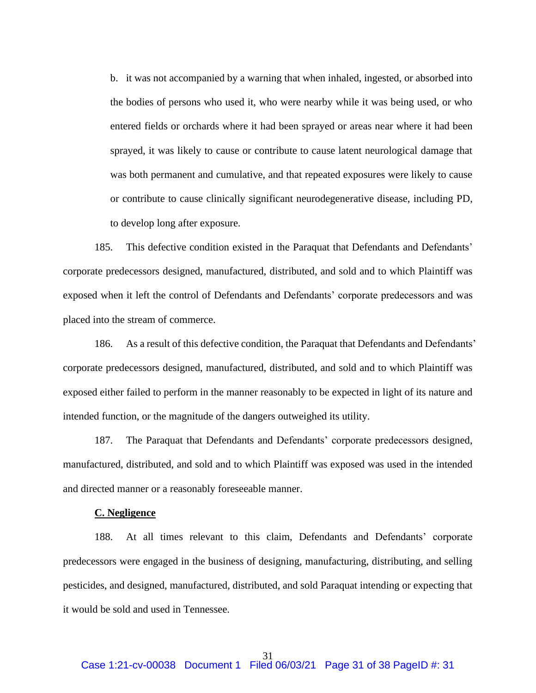b. it was not accompanied by a warning that when inhaled, ingested, or absorbed into the bodies of persons who used it, who were nearby while it was being used, or who entered fields or orchards where it had been sprayed or areas near where it had been sprayed, it was likely to cause or contribute to cause latent neurological damage that was both permanent and cumulative, and that repeated exposures were likely to cause or contribute to cause clinically significant neurodegenerative disease, including PD, to develop long after exposure.

185. This defective condition existed in the Paraquat that Defendants and Defendants' corporate predecessors designed, manufactured, distributed, and sold and to which Plaintiff was exposed when it left the control of Defendants and Defendants' corporate predecessors and was placed into the stream of commerce.

186. As a result of this defective condition, the Paraquat that Defendants and Defendants' corporate predecessors designed, manufactured, distributed, and sold and to which Plaintiff was exposed either failed to perform in the manner reasonably to be expected in light of its nature and intended function, or the magnitude of the dangers outweighed its utility.

187. The Paraquat that Defendants and Defendants' corporate predecessors designed, manufactured, distributed, and sold and to which Plaintiff was exposed was used in the intended and directed manner or a reasonably foreseeable manner.

#### **C. Negligence**

188. At all times relevant to this claim, Defendants and Defendants' corporate predecessors were engaged in the business of designing, manufacturing, distributing, and selling pesticides, and designed, manufactured, distributed, and sold Paraquat intending or expecting that it would be sold and used in Tennessee.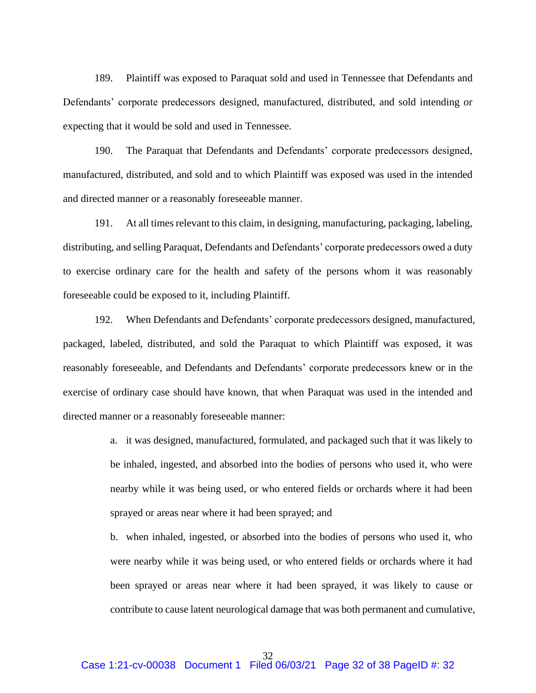189. Plaintiff was exposed to Paraquat sold and used in Tennessee that Defendants and Defendants' corporate predecessors designed, manufactured, distributed, and sold intending or expecting that it would be sold and used in Tennessee.

190. The Paraquat that Defendants and Defendants' corporate predecessors designed, manufactured, distributed, and sold and to which Plaintiff was exposed was used in the intended and directed manner or a reasonably foreseeable manner.

191. At all times relevant to this claim, in designing, manufacturing, packaging, labeling, distributing, and selling Paraquat, Defendants and Defendants' corporate predecessors owed a duty to exercise ordinary care for the health and safety of the persons whom it was reasonably foreseeable could be exposed to it, including Plaintiff.

192. When Defendants and Defendants' corporate predecessors designed, manufactured, packaged, labeled, distributed, and sold the Paraquat to which Plaintiff was exposed, it was reasonably foreseeable, and Defendants and Defendants' corporate predecessors knew or in the exercise of ordinary case should have known, that when Paraquat was used in the intended and directed manner or a reasonably foreseeable manner:

> a. it was designed, manufactured, formulated, and packaged such that it was likely to be inhaled, ingested, and absorbed into the bodies of persons who used it, who were nearby while it was being used, or who entered fields or orchards where it had been sprayed or areas near where it had been sprayed; and

> b. when inhaled, ingested, or absorbed into the bodies of persons who used it, who were nearby while it was being used, or who entered fields or orchards where it had been sprayed or areas near where it had been sprayed, it was likely to cause or contribute to cause latent neurological damage that was both permanent and cumulative,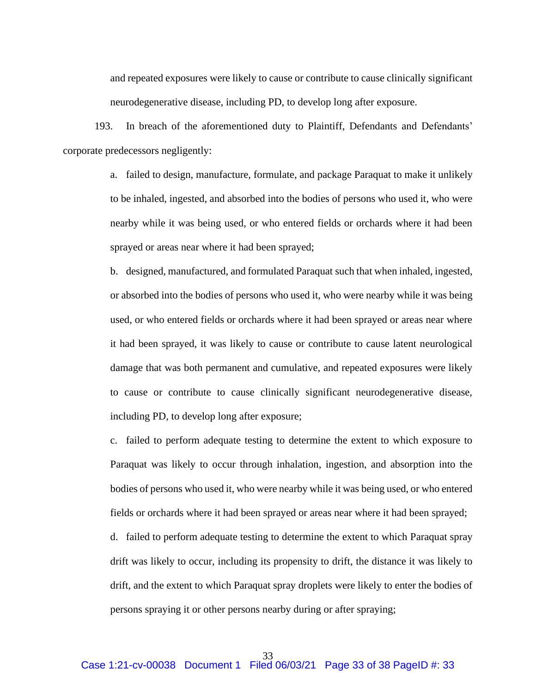and repeated exposures were likely to cause or contribute to cause clinically significant neurodegenerative disease, including PD, to develop long after exposure.

193. In breach of the aforementioned duty to Plaintiff, Defendants and Defendants' corporate predecessors negligently:

> a. failed to design, manufacture, formulate, and package Paraquat to make it unlikely to be inhaled, ingested, and absorbed into the bodies of persons who used it, who were nearby while it was being used, or who entered fields or orchards where it had been sprayed or areas near where it had been sprayed;

> b. designed, manufactured, and formulated Paraquat such that when inhaled, ingested, or absorbed into the bodies of persons who used it, who were nearby while it was being used, or who entered fields or orchards where it had been sprayed or areas near where it had been sprayed, it was likely to cause or contribute to cause latent neurological damage that was both permanent and cumulative, and repeated exposures were likely to cause or contribute to cause clinically significant neurodegenerative disease, including PD, to develop long after exposure;

> c. failed to perform adequate testing to determine the extent to which exposure to Paraquat was likely to occur through inhalation, ingestion, and absorption into the bodies of persons who used it, who were nearby while it was being used, or who entered fields or orchards where it had been sprayed or areas near where it had been sprayed;

> d. failed to perform adequate testing to determine the extent to which Paraquat spray drift was likely to occur, including its propensity to drift, the distance it was likely to drift, and the extent to which Paraquat spray droplets were likely to enter the bodies of persons spraying it or other persons nearby during or after spraying;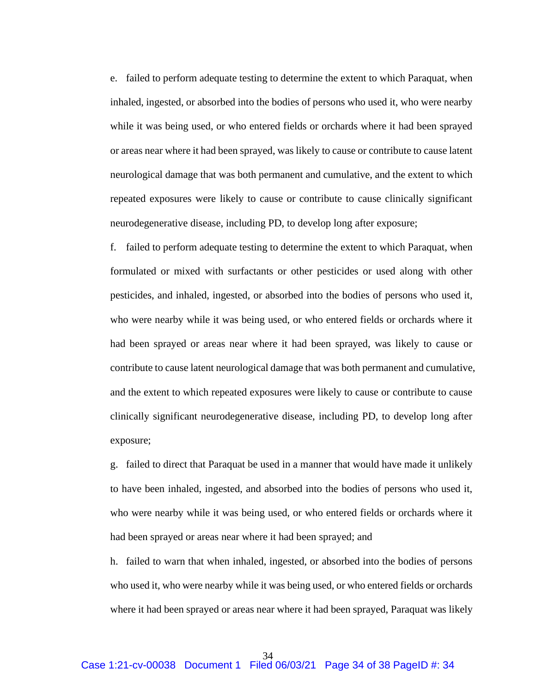e. failed to perform adequate testing to determine the extent to which Paraquat, when inhaled, ingested, or absorbed into the bodies of persons who used it, who were nearby while it was being used, or who entered fields or orchards where it had been sprayed or areas near where it had been sprayed, was likely to cause or contribute to cause latent neurological damage that was both permanent and cumulative, and the extent to which repeated exposures were likely to cause or contribute to cause clinically significant neurodegenerative disease, including PD, to develop long after exposure;

f. failed to perform adequate testing to determine the extent to which Paraquat, when formulated or mixed with surfactants or other pesticides or used along with other pesticides, and inhaled, ingested, or absorbed into the bodies of persons who used it, who were nearby while it was being used, or who entered fields or orchards where it had been sprayed or areas near where it had been sprayed, was likely to cause or contribute to cause latent neurological damage that was both permanent and cumulative, and the extent to which repeated exposures were likely to cause or contribute to cause clinically significant neurodegenerative disease, including PD, to develop long after exposure;

g. failed to direct that Paraquat be used in a manner that would have made it unlikely to have been inhaled, ingested, and absorbed into the bodies of persons who used it, who were nearby while it was being used, or who entered fields or orchards where it had been sprayed or areas near where it had been sprayed; and

h. failed to warn that when inhaled, ingested, or absorbed into the bodies of persons who used it, who were nearby while it was being used, or who entered fields or orchards where it had been sprayed or areas near where it had been sprayed, Paraquat was likely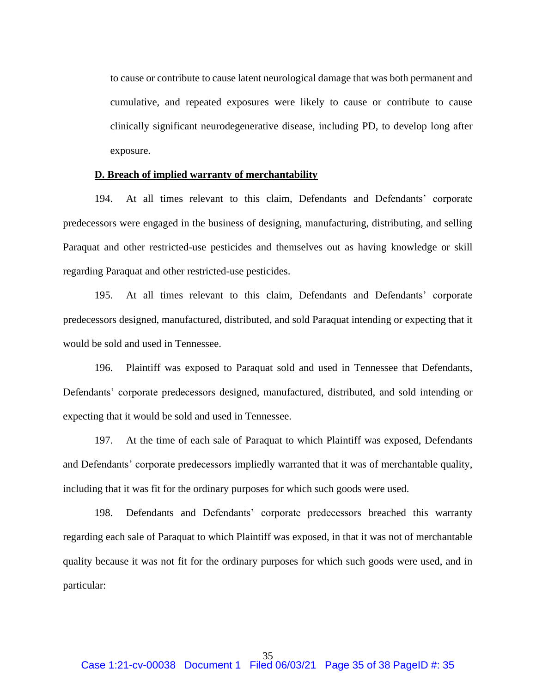to cause or contribute to cause latent neurological damage that was both permanent and cumulative, and repeated exposures were likely to cause or contribute to cause clinically significant neurodegenerative disease, including PD, to develop long after exposure.

#### **D. Breach of implied warranty of merchantability**

194. At all times relevant to this claim, Defendants and Defendants' corporate predecessors were engaged in the business of designing, manufacturing, distributing, and selling Paraquat and other restricted-use pesticides and themselves out as having knowledge or skill regarding Paraquat and other restricted-use pesticides.

195. At all times relevant to this claim, Defendants and Defendants' corporate predecessors designed, manufactured, distributed, and sold Paraquat intending or expecting that it would be sold and used in Tennessee.

196. Plaintiff was exposed to Paraquat sold and used in Tennessee that Defendants, Defendants' corporate predecessors designed, manufactured, distributed, and sold intending or expecting that it would be sold and used in Tennessee.

197. At the time of each sale of Paraquat to which Plaintiff was exposed, Defendants and Defendants' corporate predecessors impliedly warranted that it was of merchantable quality, including that it was fit for the ordinary purposes for which such goods were used.

198. Defendants and Defendants' corporate predecessors breached this warranty regarding each sale of Paraquat to which Plaintiff was exposed, in that it was not of merchantable quality because it was not fit for the ordinary purposes for which such goods were used, and in particular: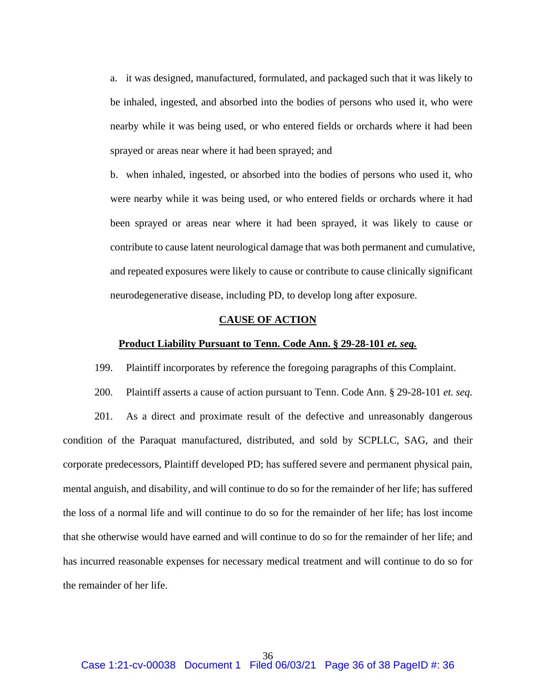a. it was designed, manufactured, formulated, and packaged such that it was likely to be inhaled, ingested, and absorbed into the bodies of persons who used it, who were nearby while it was being used, or who entered fields or orchards where it had been sprayed or areas near where it had been sprayed; and

b. when inhaled, ingested, or absorbed into the bodies of persons who used it, who were nearby while it was being used, or who entered fields or orchards where it had been sprayed or areas near where it had been sprayed, it was likely to cause or contribute to cause latent neurological damage that was both permanent and cumulative, and repeated exposures were likely to cause or contribute to cause clinically significant neurodegenerative disease, including PD, to develop long after exposure.

#### **CAUSE OF ACTION**

#### **Product Liability Pursuant to Tenn. Code Ann. § 29-28-101** *et. seq.*

199. Plaintiff incorporates by reference the foregoing paragraphs of this Complaint.

200. Plaintiff asserts a cause of action pursuant to Tenn. Code Ann. § 29-28-101 *et. seq.*

201. As a direct and proximate result of the defective and unreasonably dangerous condition of the Paraquat manufactured, distributed, and sold by SCPLLC, SAG, and their corporate predecessors, Plaintiff developed PD; has suffered severe and permanent physical pain, mental anguish, and disability, and will continue to do so for the remainder of her life; has suffered the loss of a normal life and will continue to do so for the remainder of her life; has lost income that she otherwise would have earned and will continue to do so for the remainder of her life; and has incurred reasonable expenses for necessary medical treatment and will continue to do so for the remainder of her life.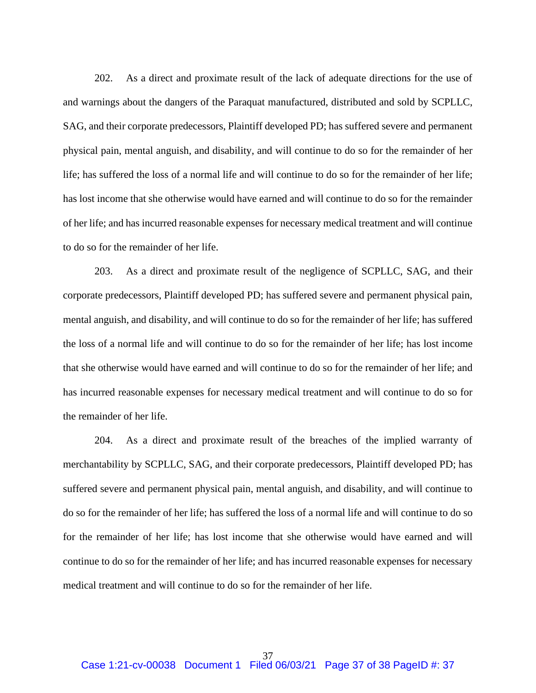202. As a direct and proximate result of the lack of adequate directions for the use of and warnings about the dangers of the Paraquat manufactured, distributed and sold by SCPLLC, SAG, and their corporate predecessors, Plaintiff developed PD; has suffered severe and permanent physical pain, mental anguish, and disability, and will continue to do so for the remainder of her life; has suffered the loss of a normal life and will continue to do so for the remainder of her life; has lost income that she otherwise would have earned and will continue to do so for the remainder of her life; and has incurred reasonable expenses for necessary medical treatment and will continue to do so for the remainder of her life.

203. As a direct and proximate result of the negligence of SCPLLC, SAG, and their corporate predecessors, Plaintiff developed PD; has suffered severe and permanent physical pain, mental anguish, and disability, and will continue to do so for the remainder of her life; has suffered the loss of a normal life and will continue to do so for the remainder of her life; has lost income that she otherwise would have earned and will continue to do so for the remainder of her life; and has incurred reasonable expenses for necessary medical treatment and will continue to do so for the remainder of her life.

204. As a direct and proximate result of the breaches of the implied warranty of merchantability by SCPLLC, SAG, and their corporate predecessors, Plaintiff developed PD; has suffered severe and permanent physical pain, mental anguish, and disability, and will continue to do so for the remainder of her life; has suffered the loss of a normal life and will continue to do so for the remainder of her life; has lost income that she otherwise would have earned and will continue to do so for the remainder of her life; and has incurred reasonable expenses for necessary medical treatment and will continue to do so for the remainder of her life.